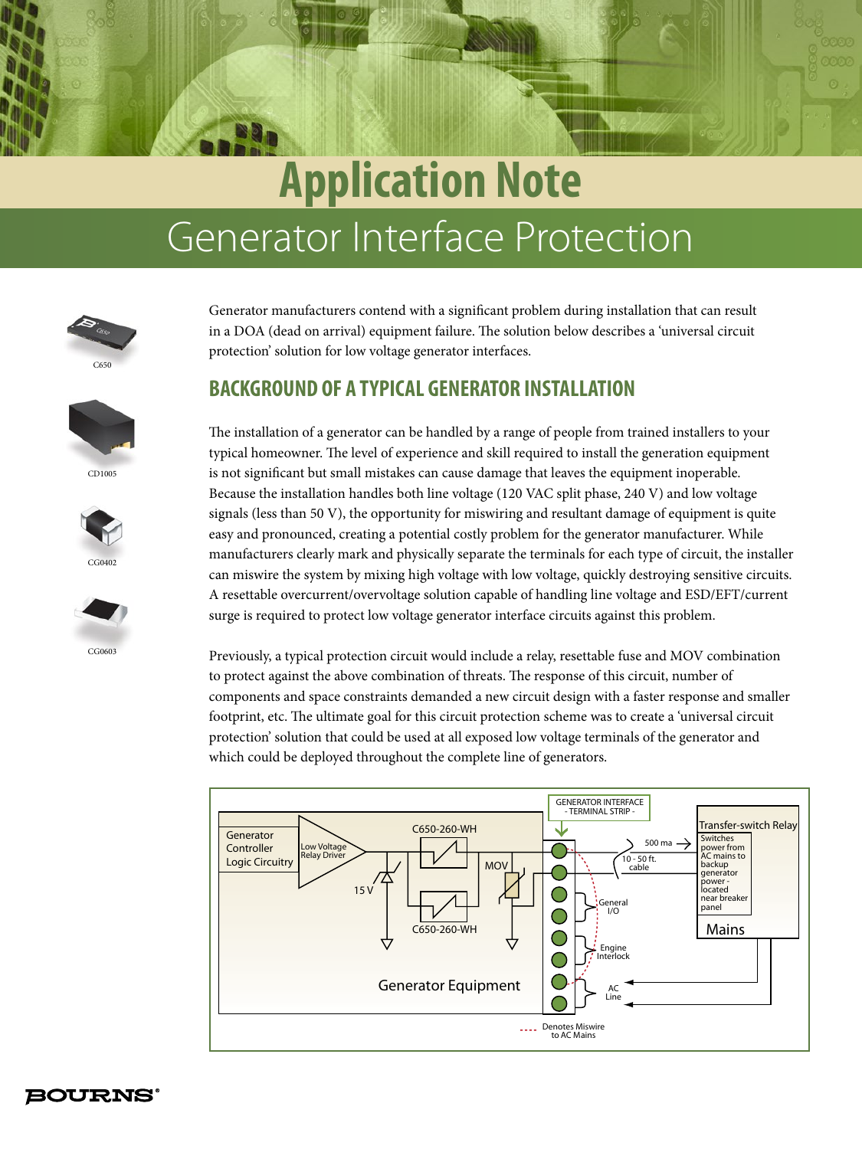# Generator Interface Protection **Application Note**



CD1005

CG0402

CG0603

Generator manufacturers contend with a significant problem during installation that can result in a DOA (dead on arrival) equipment failure. The solution below describes a 'universal circuit protection' solution for low voltage generator interfaces.

## **BACKGROUND OF A TYPICAL GENERATOR INSTALLATION**



Previously, a typical protection circuit would include a relay, resettable fuse and MOV combination to protect against the above combination of threats. The response of this circuit, number of components and space constraints demanded a new circuit design with a faster response and smaller footprint, etc. The ultimate goal for this circuit protection scheme was to create a 'universal circuit protection' solution that could be used at all exposed low voltage terminals of the generator and which could be deployed throughout the complete line of generators.



**BOURNS®**